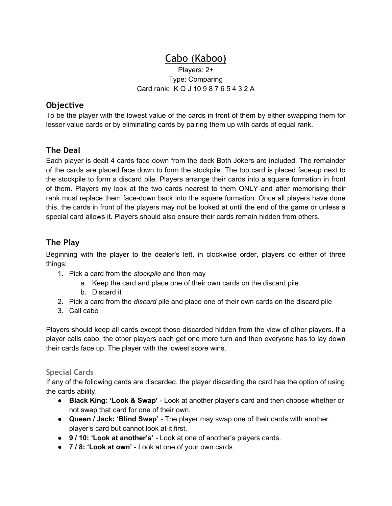# Cabo (Kaboo)

#### Players: 2+ Type: Comparing Card rank: K Q J 10 9 8 7 6 5 4 3 2 A

## **Objective**

To be the player with the lowest value of the cards in front of them by either swapping them for lesser value cards or by eliminating cards by pairing them up with cards of equal rank.

# **The Deal**

Each player is dealt 4 cards face down from the deck Both Jokers are included. The remainder of the cards are placed face down to form the stockpile. The top card is placed face-up next to the stockpile to form a discard pile. Players arrange their cards into a square formation in front of them. Players my look at the two cards nearest to them ONLY and after memorising their rank must replace them face-down back into the square formation. Once all players have done this, the cards in front of the players may not be looked at until the end of the game or unless a special card allows it. Players should also ensure their cards remain hidden from others.

# **The Play**

Beginning with the player to the dealer's left, in clockwise order, players do either of three things:

- 1. Pick a card from the *stockpile* and then may
	- a. Keep the card and place one of their own cards on the discard pile
	- b. Discard it
- 2. Pick a card from the *discard* pile and place one of their own cards on the discard pile
- 3. Call cabo

Players should keep all cards except those discarded hidden from the view of other players. If a player calls cabo, the other players each get one more turn and then everyone has to lay down their cards face up. The player with the lowest score wins.

### **Special Cards**

If any of the following cards are discarded, the player discarding the card has the option of using the cards ability.

- **Black King: 'Look & Swap'**  Look at another player's card and then choose whether or not swap that card for one of their own.
- **Queen / Jack: 'Blind Swap'** The player may swap one of their cards with another player's card but cannot look at it first.
- **9 / 10: 'Look at another's'**  Look at one of another's players cards.
- **7 / 8: 'Look at own'** Look at one of your own cards